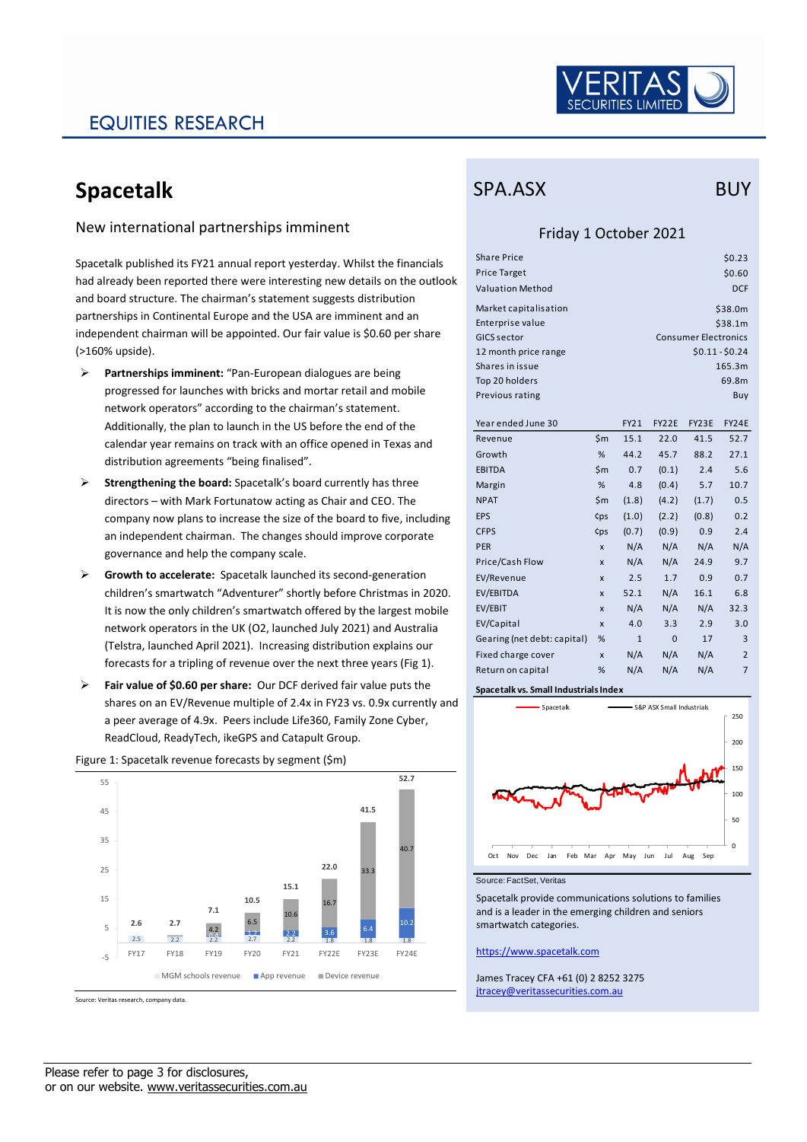

# EQUITIES RESEARCH

# **Spacetalk**

### New international partnerships imminent

Spacetalk published its FY21 annual report yesterday. Whilst the financials had already been reported there were interesting new details on the outlook and board structure. The chairman's statement suggests distribution partnerships in Continental Europe and the USA are imminent and an independent chairman will be appointed. Our fair value is \$0.60 per share (>160% upside).

- ➢ **Partnerships imminent:** "Pan-European dialogues are being progressed for launches with bricks and mortar retail and mobile network operators" according to the chairman's statement. Additionally, the plan to launch in the US before the end of the calendar year remains on track with an office opened in Texas and distribution agreements "being finalised".
- ➢ **Strengthening the board:** Spacetalk's board currently has three directors – with Mark Fortunatow acting as Chair and CEO. The company now plans to increase the size of the board to five, including an independent chairman. The changes should improve corporate governance and help the company scale.
- ➢ **Growth to accelerate:** Spacetalk launched its second-generation children's smartwatch "Adventurer" shortly before Christmas in 2020. It is now the only children's smartwatch offered by the largest mobile network operators in the UK (O2, launched July 2021) and Australia (Telstra, launched April 2021). Increasing distribution explains our forecasts for a tripling of revenue over the next three years (Fig 1).
- ➢ **Fair value of \$0.60 per share:** Our DCF derived fair value puts the shares on an EV/Revenue multiple of 2.4x in FY23 vs. 0.9x currently and a peer average of 4.9x. Peers include Life360, Family Zone Cyber, ReadCloud, ReadyTech, ikeGPS and Catapult Group.

#### Figure 1: Spacetalk revenue forecasts by segment (\$m)  $2.5$   $2.2$   $2.2$   $2.2$   $2.2$   $2.2$   $2.2$   $2.2$   $2.2$   $2.2$   $2.2$   $2.2$   $2.2$   $2.2$   $2.2$   $2.2$   $2.2$   $2.2$   $2.2$   $2.2$   $2.2$   $2.2$   $2.2$   $2.2$   $2.2$   $2.2$   $2.2$   $2.2$   $2.2$   $2.2$   $2.2$   $2.2$   $2.2$   $2.2$   $2.2$   $2.2$   $2.2$ 10.2 4.2 6.5  $10.6$ 16.7  $33.3$ 40.7 **2.6 2.7 7.1 10.5 15.1 22.0 41.5 52.7** -5 5 15 25 35 45 55 FY17 FY18 FY19 FY20 FY21 FY22E FY23E FY24E ■ MGM schools revenue ■ App revenue ■ Device revenue

Source: Veritas research, company data.

## SPA.ASX BUY

## Friday 1 October 2021

| Share Price             | \$0.23                      |
|-------------------------|-----------------------------|
| <b>Price Target</b>     | \$0.60                      |
| <b>Valuation Method</b> | <b>DCF</b>                  |
| Market capitalisation   | \$38.0m                     |
| Enterprise value        | \$38.1m                     |
| GICS sector             | <b>Consumer Electronics</b> |
| 12 month price range    | $$0.11 - $0.24$             |
| Shares in issue         | 165.3m                      |
| Top 20 holders          | 69.8m                       |
| Previous rating         | Buy                         |
|                         |                             |

| Year ended June 30          |                           | FY21         | FY22E        | FY23E | FY24E          |
|-----------------------------|---------------------------|--------------|--------------|-------|----------------|
| Revenue                     | \$m                       | 15.1         | 22.0         | 41.5  | 52.7           |
| Growth                      | %                         | 44.2         | 45.7         | 88.2  | 27.1           |
| <b>EBITDA</b>               | \$m                       | 0.7          | (0.1)        | 2.4   | 5.6            |
| Margin                      | %                         | 4.8          | (0.4)        | 5.7   | 10.7           |
| <b>NPAT</b>                 | \$m                       | (1.8)        | (4.2)        | (1.7) | 0.5            |
| <b>EPS</b>                  | ¢ps                       | (1.0)        | (2.2)        | (0.8) | 0.2            |
| <b>CFPS</b>                 | ¢ps                       | (0.7)        | (0.9)        | 0.9   | 2.4            |
| <b>PER</b>                  | $\mathsf{x}$              | N/A          | N/A          | N/A   | N/A            |
| Price/Cash Flow             | $\mathsf{x}$              | N/A          | N/A          | 24.9  | 9.7            |
| EV/Revenue                  | $\boldsymbol{\mathsf{x}}$ | 2.5          | 1.7          | 0.9   | 0.7            |
| EV/EBITDA                   | $\boldsymbol{\mathsf{x}}$ | 52.1         | N/A          | 16.1  | 6.8            |
| EV/EBIT                     | $\boldsymbol{\mathsf{x}}$ | N/A          | N/A          | N/A   | 32.3           |
| EV/Capital                  | $\boldsymbol{\mathsf{x}}$ | 4.0          | 3.3          | 2.9   | 3.0            |
| Gearing (net debt: capital) | %                         | $\mathbf{1}$ | $\mathbf{0}$ | 17    | 3              |
| Fixed charge cover          | $\boldsymbol{\mathsf{x}}$ | N/A          | N/A          | N/A   | $\overline{2}$ |
| Return on capital           | %                         | N/A          | N/A          | N/A   | $\overline{7}$ |
|                             |                           |              |              |       |                |

**Spacetalk vs. Small Industrials Index**



Source: FactSet, Veritas

Spacetalk provide communications solutions to families and is a leader in the emerging children and seniors smartwatch categories.

### [https://www.spacetalk.com](https://www.spacetalk.com/)

James Tracey CFA +61 (0) 2 8252 3275 [jtracey@veritassecurities.com.au](mailto:jtracey@veritassecurities.com.au)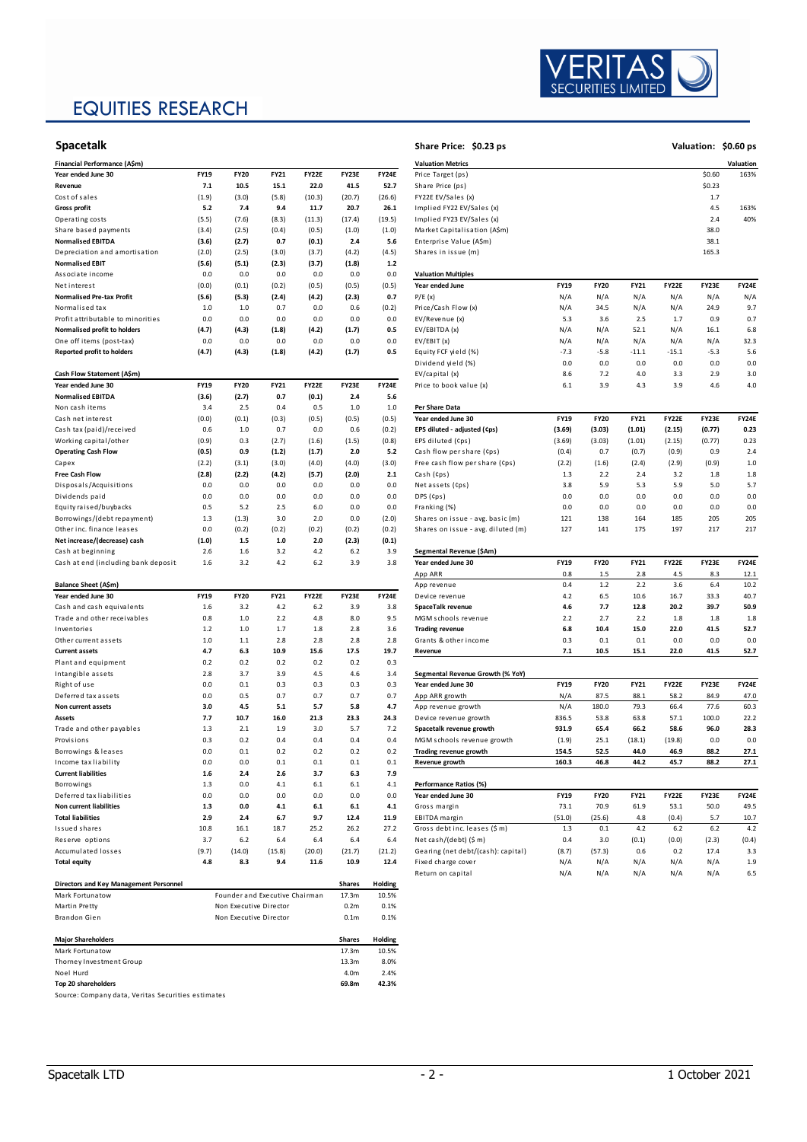# EQUITIES RESEARCH



| Financial Performance (A\$m)           |             |             |         |              |                |              | <b>Valuation Metrics</b>                                            |                            |             |             |         |        | Valuation    |
|----------------------------------------|-------------|-------------|---------|--------------|----------------|--------------|---------------------------------------------------------------------|----------------------------|-------------|-------------|---------|--------|--------------|
| Year ended June 30                     | FY19        | <b>FY20</b> | FY21    | <b>FY22E</b> | FY23E          | FY24E        | Price Target (ps)                                                   |                            |             |             | \$0.60  | 163%   |              |
| Revenue                                | 7.1         | 10.5        | 15.1    | 22.0         | 41.5           | 52.7         | Share Price (ps)                                                    |                            |             |             | \$0.23  |        |              |
| Cost of sales                          | (1.9)       | (3.0)       | (5.8)   | (10.3)       | (20.7)         | (26.6)       | FY22E EV/Sales (x)                                                  |                            |             |             | 1.7     |        |              |
| <b>Gross profit</b>                    | 5.2         | 7.4         | 9.4     | 11.7         | 20.7           | 26.1         | Implied FY22 EV/Sales (x)                                           |                            | 4.5         | 163%        |         |        |              |
| Operating costs                        | (5.5)       | (7.6)       | (8.3)   | (11.3)       | (17.4)         | (19.5)       | Implied FY23 EV/Sales (x)                                           |                            |             | 2.4         | 40%     |        |              |
| Share based payments                   | (3.4)       | (2.5)       | (0.4)   | (0.5)        | (1.0)          | (1.0)        | Market Capitalisation (A\$m)                                        |                            |             |             |         | 38.0   |              |
| <b>Normalised EBITDA</b>               | (3.6)       | (2.7)       | 0.7     | (0.1)        | 2.4            | 5.6          | Enterprise Value (A\$m)                                             |                            |             |             |         | 38.1   |              |
| Depreciation and amortisation          | (2.0)       | (2.5)       | (3.0)   | (3.7)        | (4.2)          | (4.5)        | Shares in issue (m)                                                 |                            |             |             |         | 165.3  |              |
| <b>Normalised EBIT</b>                 | (5.6)       | (5.1)       | (2.3)   | (3.7)        | (1.8)          | $1.2$        |                                                                     |                            |             |             |         |        |              |
| Associate income                       | 0.0         | 0.0         | 0.0     | 0.0          | 0.0            | 0.0          | <b>Valuation Multiples</b>                                          |                            |             |             |         |        |              |
| Net interest                           | (0.0)       | (0.1)       | (0.2)   | (0.5)        | (0.5)          | (0.5)        | Year ended June                                                     | <b>FY19</b>                | <b>FY20</b> | FY21        | FY22E   | FY23E  | <b>FY24E</b> |
| <b>Normalised Pre-tax Profit</b>       | (5.6)       | (5.3)       | (2.4)   | (4.2)        | (2.3)          | 0.7          | P/E(x)                                                              | N/A                        | N/A         | N/A         | N/A     | N/A    | N/A          |
| Normalised tax                         | 1.0         | 1.0         | 0.7     | 0.0          | 0.6            | (0.2)        | Price/Cash Flow (x)                                                 | N/A                        | 34.5        | N/A         | N/A     | 24.9   | 9.7          |
| Profit attributable to minorities      | 0.0         | 0.0         | 0.0     | 0.0          | 0.0            | 0.0          | EV/Revenue (x)                                                      | 5.3                        | 3.6         | 2.5         | 1.7     | 0.9    | 0.7          |
| Normalised profit to holders           | (4.7)       | (4.3)       | (1.8)   | (4.2)        | (1.7)          | 0.5          | EV/EBITDA (x)                                                       | N/A                        | N/A         | 52.1        | N/A     | 16.1   | 6.8          |
| One off items (post-tax)               | 0.0         | 0.0         | 0.0     | 0.0          | 0.0            | 0.0          | EV/EBIT (x)                                                         | N/A                        | N/A         | N/A         | N/A     | N/A    | 32.3         |
| <b>Reported profit to holders</b>      | (4.7)       | (4.3)       | (1.8)   | (4.2)        | (1.7)          | 0.5          | Equity FCF yield (%)                                                | $-7.3$                     | $-5.8$      | $-11.1$     | $-15.1$ | $-5.3$ | 5.6          |
|                                        |             |             |         |              |                |              | Dividend yield (%)                                                  | 0.0                        | 0.0         | 0.0         | 0.0     | 0.0    | 0.0          |
| Cash Flow Statement (A\$m)             |             |             |         |              |                |              | EV/capital (x)                                                      | 8.6                        | 7.2         | 4.0         | 3.3     | 2.9    | 3.0          |
| Year ended June 30                     | <b>FY19</b> | <b>FY20</b> | FY21    | <b>FY22E</b> | FY23E          | FY24E        | Price to book value (x)                                             | 6.1                        | 3.9         | 4.3         | 3.9     | 4.6    | 4.0          |
| <b>Normalised EBITDA</b>               | (3.6)       | (2.7)       | 0.7     | (0.1)        | 2.4            | 5.6          |                                                                     |                            |             |             |         |        |              |
| Non cash items                         | 3.4         | 2.5         | 0.4     | 0.5          | 1.0            | $1.0$        | Per Share Data                                                      |                            |             |             |         |        |              |
| Cash net interest                      | (0.0)       | (0.1)       | (0.3)   | (0.5)        | (0.5)          | (0.5)        | Year ended June 30                                                  | <b>FY19</b>                | <b>FY20</b> | <b>FY21</b> | FY22E   | FY23E  | <b>FY24E</b> |
| Cash tax (paid)/received               | 0.6         | 1.0         | 0.7     | 0.0          | 0.6            | (0.2)        | EPS diluted - adjusted (¢ps)                                        | (3.69)                     | (3.03)      | (1.01)      | (2.15)  | (0.77) | 0.23         |
| Working capital/other                  | (0.9)       | 0.3         | (2.7)   | (1.6)        | (1.5)          | (0.8)        | EPS diluted (Cps)                                                   | (3.69)                     | (3.03)      | (1.01)      | (2.15)  | (0.77) | 0.23         |
| <b>Operating Cash Flow</b>             | (0.5)       | 0.9         | (1.2)   | (1.7)        | 2.0            | 5.2          | Cash flow per share (Cps)                                           | (0.4)                      | 0.7         | (0.7)       | (0.9)   | 0.9    | 2.4          |
| Capex                                  | (2.2)       | (3.1)       | (3.0)   | (4.0)        | (4.0)          | (3.0)        | Free cash flow per share (Cps)                                      | (2.2)                      | (1.6)       | (2.4)       | (2.9)   | (0.9)  | 1.0          |
| <b>Free Cash Flow</b>                  | (2.8)       | (2.2)       | (4.2)   | (5.7)        | (2.0)          | 2.1          | Cash (Cps)                                                          | 1.3                        | 2.2         | 2.4         | 3.2     | 1.8    | 1.8          |
| Disposals/Acquisitions                 | 0.0         | 0.0         | 0.0     | 0.0          | 0.0            | 0.0          | Net assets (Cps)                                                    | 3.8                        | 5.9         | 5.3         | 5.9     | 5.0    | 5.7          |
| Dividends paid                         | 0.0         | 0.0         | 0.0     | 0.0          | 0.0            | 0.0          | DPS (Cps)                                                           |                            | 0.0         | 0.0         | 0.0     | 0.0    | 0.0          |
| Equity raised/buybacks                 | 0.5         | 5.2         | 2.5     | 6.0          | 0.0            | 0.0          | Franking (%)                                                        | 0.0                        | 0.0         | 0.0         | 0.0     | 0.0    | 0.0          |
| Borrowings/(debt repayment)            | 1.3         | (1.3)       | 3.0     | 2.0          | 0.0            | (2.0)        | Shares on issue - avg. basic (m)                                    |                            | 138         | 164         | 185     | 205    | 205          |
| Other inc. finance leases              | 0.0         | (0.2)       | (0.2)   | (0.2)        | (0.2)          | (0.2)        | Shares on issue - avg. diluted (m)                                  |                            | 141         | 175         | 197     | 217    | 217          |
| Net increase/(decrease) cash           | (1.0)       | $1.5\,$     | $1.0\,$ | 2.0          | (2.3)          | (0.1)        |                                                                     |                            |             |             |         |        |              |
| Cash at beginning                      | 2.6         | 1.6         | 3.2     | 4.2          | 6.2            | 3.9          | Segmental Revenue (\$Am)                                            |                            |             |             |         |        |              |
| Cash at end (including bank deposit:   | 1.6         | 3.2         | 4.2     | $6.2$        | 3.9            | 3.8          | Year ended June 30                                                  | <b>FY19</b><br><b>FY20</b> |             | FY21        | FY22E   | FY23E  | <b>FY24E</b> |
|                                        |             |             |         |              |                |              | App ARR                                                             | 0.8                        | 1.5         | 2.8         | 4.5     | 8.3    | 12.1         |
| Balance Sheet (A\$m)                   |             |             |         |              |                |              | App revenue                                                         | 0.4                        | $1.2$       | 2.2         | 3.6     | 6.4    | 10.2         |
| Year ended June 30                     | FY19        | <b>FY20</b> | FY21    | <b>FY22E</b> | <b>FY23E</b>   | <b>FY24E</b> | Device revenue                                                      | 4.2                        | 6.5         | 10.6        | 16.7    | 33.3   | 40.7         |
| Cash and cash equivalents              | 1.6         | 3.2         | 4.2     | 6.2          | 3.9            | 3.8          | SpaceTalk revenue                                                   | 4.6                        | 7.7         | 12.8        | 20.2    | 39.7   | 50.9         |
| Trade and other receivables            | 0.8         | $1.0\,$     | 2.2     | 4.8          | 8.0            | 9.5          | MGM schools revenue<br>2.2                                          |                            | 2.7         | 2.2         | 1.8     | 1.8    | 1.8          |
| Inventories                            | $1.2$       | 1.0         | 1.7     | 1.8          | 2.8            | 3.6          | <b>Trading revenue</b><br>6.8                                       |                            | 10.4        | 15.0        | 22.0    | 41.5   | 52.7         |
| Other current assets                   | $1.0$       | $1.1$       | 2.8     | 2.8          | 2.8            | 2.8          | Grants & other income                                               |                            | 0.1         | 0.1         | 0.0     | 0.0    | 0.0          |
| <b>Current assets</b>                  | 4.7         | 6.3         | 10.9    | 15.6         | 17.5           | 19.7         | Revenue                                                             | 10.5<br>7.1                |             | 15.1        | 22.0    | 41.5   | 52.7         |
| Plant and equipment                    | 0.2         | 0.2         | 0.2     | 0.2          | 0.2            | 0.3          |                                                                     |                            |             |             |         |        |              |
| Intangible assets                      | 2.8         | 3.7         | 3.9     | 4.5          | 4.6            | 3.4          | Segmental Revenue Growth (% YoY)                                    |                            |             |             |         |        |              |
| Right of use                           | 0.0         | 0.1         | 0.3     | 0.3          | 0.3            | 0.3          | Year ended June 30                                                  | <b>FY19</b>                | <b>FY20</b> | FY21        | FY22E   | FY23E  | <b>FY24E</b> |
| Deferred tax assets                    | 0.0         | 0.5         | 0.7     | 0.7          | 0.7            | 0.7          | App ARR growth                                                      | N/A                        | 87.5        | 88.1        | 58.2    | 84.9   | 47.0         |
| Non current assets                     | 3.0         | 4.5         | 5.1     | 5.7          | 5.8            | 4.7          | App revenue growth                                                  | N/A                        | 180.0       | 79.3        | 66.4    | 77.6   | 60.3         |
| Assets                                 | 7.7         | 10.7        | 16.0    | 21.3         | 23.3           | 24.3         | Device revenue growth                                               | 836.5                      | 53.8        | 63.8        | 57.1    | 100.0  | 22.2         |
| Trade and other payables               | 1.3         | 2.1         | 1.9     | 3.0          | 5.7            | 7.2          | Spacetalk revenue growth                                            | 931.9                      | 65.4        | 66.2        | 58.6    | 96.0   | 28.3         |
| Provisions                             | 0.3         | 0.2         | 0.4     | 0.4          | 0.4            | 0.4          | MGM schools revenue growth                                          | (1.9)                      | 25.1        | (18.1)      | (19.8)  | 0.0    | 0.0          |
| Borrowings & leases                    | 0.0         | 0.1         | 0.2     | 0.2          | 0.2            | 0.2          | Trading revenue growth                                              | 154.5                      | 52.5        | 44.0        | 46.9    | 88.2   | 27.1         |
| Income tax liability                   | 0.0         | n n         | 0.1     | 0.1          | 0 <sub>1</sub> | 0.1          | Revenue growth                                                      | 160.3                      | 46.8        |             |         | 88.2   | 27.1         |
| <b>Current liabilities</b>             | $1.6$       | 2.4         | 2.6     | 3.7          | 6.3            | 7.9          |                                                                     |                            |             |             |         |        |              |
| Borrowings                             | 1.3         | 0.0         | 4.1     | 6.1          | $6.1$          | 4.1          | Performance Ratios (%)                                              |                            |             |             |         |        |              |
| Deferred tax liabilities               | 0.0         | 0.0         | 0.0     | 0.0          | 0.0            | 0.0          | Year ended June 30                                                  | <b>FY19</b>                | <b>FY20</b> | <b>FY21</b> | FY22E   | FY23E  | <b>FY24E</b> |
| Non current liabilities                | 1.3         | $0.0\,$     | 4.1     | 6.1          | 6.1            | $4.1\,$      | 73.1<br>70.9<br>61.9<br>Gross margin                                |                            | 53.1        | 50.0        | 49.5    |        |              |
| <b>Total liabilities</b>               | 2.9         | 2.4         | 6.7     | 9.7          | 12.4           | 11.9         | EBITDA margin<br>(51.0)<br>(25.6)<br>(0.4)<br>4.8                   |                            | 5.7         | 10.7        |         |        |              |
| <b>Issued shares</b>                   | 10.8        | 16.1        | 18.7    | 25.2         | 26.2           | 27.2         | 4.2<br>Gross debt inc. leases (\$ m)<br>1.3<br>0.1<br>6.2           |                            | $6.2\,$     | 4.2         |         |        |              |
| Reserve options                        | 3.7         | $6.2\,$     | 6.4     | 6.4          | 6.4            | 6.4          | Net cash/(debt) (\$ m)                                              | 0.4                        | 3.0         | (0.1)       | (0.0)   | (2.3)  | (0.4)        |
| Accumulated losses                     | (9.7)       | (14.0)      | (15.8)  | (20.0)       | (21.7)         | (21.2)       | Gearing (net debt/(cash): capital)<br>(57.3)<br>0.6<br>0.2<br>(8.7) |                            | 17.4        | 3.3         |         |        |              |
| <b>Total equity</b>                    | 4.8         | 8.3         | 9.4     | 11.6         | 10.9           | 12.4         | Fixed charge cover                                                  | N/A                        | N/A         | N/A         | N/A     | N/A    | 1.9          |
|                                        |             |             |         |              |                | Holding      | Return on capital                                                   | N/A                        | N/A         | N/A         | N/A     | N/A    | 6.5          |
| Directors and Key Management Personnel |             |             |         |              | Shares         |              |                                                                     |                            |             |             |         |        |              |

| Mark Fortunatow                                    | Founder and Executive Chairman | 17.3m            | 10.5%   |
|----------------------------------------------------|--------------------------------|------------------|---------|
| Martin Pretty                                      | Non Executive Director         | 0.2 <sub>m</sub> | 0.1%    |
| Brandon Gien                                       | Non Executive Director         | 0.1 <sub>m</sub> | 0.1%    |
|                                                    |                                |                  |         |
| <b>Major Shareholders</b>                          |                                | <b>Shares</b>    | Holding |
| Mark Fortunatow                                    |                                | 17.3m            | 10.5%   |
| Thorney Investment Group                           |                                | 13.3m            | 8.0%    |
| Noel Hurd                                          |                                | 4.0m             | 2.4%    |
| Top 20 shareholders                                |                                | 69.8m            | 42.3%   |
| Source: Company data, Veritas Securities estimates |                                |                  |         |

 $\overline{\mathsf{R}}$  $\overline{S}$ TА SECURITIES LIMITED

| Share Price: \$0.23 ps                                                 |               |                     |                     |              |               | Valuation: \$0.60 ps |
|------------------------------------------------------------------------|---------------|---------------------|---------------------|--------------|---------------|----------------------|
| <b>Valuation Metrics</b>                                               |               |                     |                     |              |               | Valuation            |
| Price Target (ps)                                                      |               |                     |                     |              | \$0.60        | 163%                 |
| Share Price (ps)                                                       |               |                     |                     |              | \$0.23        |                      |
| FY22E EV/Sales (x)                                                     |               |                     |                     |              | 1.7           |                      |
| Implied FY22 EV/Sales (x)                                              |               |                     |                     |              | 4.5           | 163%                 |
| Implied FY23 EV/Sales (x)                                              |               |                     |                     |              | 2.4           | 40%                  |
| Market Capitalisation (A\$m)                                           |               |                     |                     |              | 38.0          |                      |
| Enterprise Value (A\$m)                                                |               |                     |                     |              | 38.1          |                      |
| Shares in issue (m)                                                    |               |                     |                     |              | 165.3         |                      |
|                                                                        |               |                     |                     |              |               |                      |
| <b>Valuation Multiples</b>                                             |               |                     |                     |              |               |                      |
| Year ended June                                                        | <b>FY19</b>   | <b>FY20</b>         | FY21                | FY22E        | FY23E         | <b>FY24E</b>         |
| P/E(x)                                                                 | N/A           | N/A                 | N/A                 | N/A          | N/A           | N/A                  |
| Price/Cash Flow (x)                                                    | N/A           | 34.5                | N/A                 | N/A          | 24.9          | 9.7                  |
| EV/Revenue (x)                                                         | 5.3           | 3.6                 | 2.5                 | 1.7          | 0.9           | 0.7                  |
| EV/EBITDA (x)                                                          | N/A           | N/A                 | 52.1                | N/A          | 16.1          | 6.8                  |
| EV/EBIT(x)                                                             | N/A           | N/A                 | N/A                 | N/A          | N/A           | 32.3                 |
| Equity FCF yield (%)                                                   | $-7.3$        | $-5.8$              | $-11.1$             | $-15.1$      | $-5.3$        | 5.6                  |
| Dividend yield (%)                                                     | 0.0           | 0.0                 | 0.0                 | 0.0          | 0.0           | 0.0                  |
| EV/capital (x)                                                         | 8.6           | 7.2                 | 4.0                 | 3.3          | 2.9           | 3.0                  |
| Price to book value (x)                                                | 6.1           | 3.9                 | 4.3                 | 3.9          | 4.6           | 4.0                  |
|                                                                        |               |                     |                     |              |               |                      |
| Per Share Data<br>Year ended June 30                                   | <b>FY19</b>   | <b>FY20</b>         | FY21                | <b>FY22E</b> | FY23E         | <b>FY24E</b>         |
| EPS diluted - adjusted (Cps)                                           | (3.69)        | (3.03)              | (1.01)              | (2.15)       | (0.77)        | 0.23                 |
|                                                                        |               |                     |                     |              |               | 0.23                 |
| EPS diluted (Cps)                                                      | (3.69)        | (3.03)              | (1.01)              | (2.15)       | (0.77)<br>0.9 | 2.4                  |
| Cash flow per share (Cps)                                              | (0.4)         | 0.7                 | (0.7)               | (0.9)        |               | 1.0                  |
| Free cash flow per share (Cps)<br>Cash (Cps)                           | (2.2)         | (1.6)<br>2.2        | (2.4)               | (2.9)        | (0.9)         | 1.8                  |
| Net assets (Cps)                                                       | 1.3<br>3.8    | 5.9                 | 2.4<br>5.3          | 3.2<br>5.9   | 1.8<br>5.0    | 5.7                  |
| DPS (Cps)                                                              | 0.0           | 0.0                 | 0.0                 | 0.0          | 0.0           | 0.0                  |
| Franking (%)                                                           | 0.0           | 0.0                 | 0.0                 | 0.0          | 0.0           | 0.0                  |
|                                                                        | 121           | 138                 | 164                 | 185          | 205           | 205                  |
| Shares on issue - avg. basic (m)<br>Shares on issue - avg. diluted (m) | 127           | 141                 | 175                 | 197          | 217           | 217                  |
|                                                                        |               |                     |                     |              |               |                      |
| Segmental Revenue (\$Am)                                               |               |                     |                     |              |               |                      |
| Year ended June 30                                                     | <b>FY19</b>   | <b>FY20</b>         | FY21                | <b>FY22E</b> | FY23E         | <b>FY24E</b>         |
| App ARR                                                                | 0.8           | 1.5                 | 2.8                 | 4.5          | 8.3           | 12.1                 |
| App revenue                                                            | 0.4           | 1.2                 | 2.2                 | 3.6          | 6.4           | 10.2                 |
| Device revenue                                                         | 4.2           | 6.5                 | 10.6                | 16.7         | 33.3          | 40.7                 |
| SpaceTalk revenue                                                      | 4.6           | 7.7                 | 12.8                | 20.2         | 39.7          | 50.9                 |
| MGM schools revenue                                                    | 2.2           | 2.7                 | 2.2                 | 1.8          | 1.8           | 1.8                  |
| <b>Trading revenue</b>                                                 | 6.8           | 10.4                | 15.0                | 22.0         | 41.5          | 52.7                 |
| Grants & other income                                                  | 0.3           | 0.1                 | 0.1                 | 0.0          | 0.0           | 0.0                  |
| Revenue                                                                | 7.1           | 10.5                | 15.1                | 22.0         | 41.5          | 52.7                 |
|                                                                        |               |                     |                     |              |               |                      |
| Segmental Revenue Growth (% YoY)                                       |               |                     |                     |              |               |                      |
| Year ended June 30                                                     | <b>FY19</b>   | <b>FY20</b>         | FY21                | <b>FY22E</b> | FY23E         | <b>FY24E</b>         |
| App ARR growth                                                         | N/A           | 87.5                | 88.1                | 58.2         | 84.9          | 47.0                 |
| App revenue growth                                                     | N/A           | 180.0               | 79.3                | 66.4         | 77.6          | 60.3                 |
| Device revenue growth                                                  | 836.5         | 53.8                | 63.8                | 57.1         | 100.0         | 22.2                 |
| Spacetalk revenue growth                                               | 931.9         | 65.4                | 66.2                | 58.6         | 96.0          | 28.3                 |
| MGM schools revenue growth                                             | (1.9)         | 25.1                | (18.1)              | (19.8)       | 0.0           | 0.0                  |
| <b>Trading revenue growth</b>                                          | 154.5         | 52.5                | 44.0                | 46.9         | 88.2          | 27.1                 |
| Revenue growth                                                         | 160.3         | 46.8                | 44.2                | 45.7         | 88.2          | 27.1                 |
|                                                                        |               |                     |                     |              |               |                      |
| Performance Ratios (%)                                                 |               |                     |                     | FY22E        |               |                      |
| Year ended June 30<br>Gross margin                                     | FY19<br>73.1  | <b>FY20</b><br>70.9 | <b>FY21</b><br>61.9 | 53.1         | FY23E<br>50.0 | <b>FY24E</b><br>49.5 |
| EBITDA margin                                                          |               |                     | 4.8                 |              | 5.7           | 10.7                 |
| Gross debt inc. leases (\$ m)                                          | (51.0)<br>1.3 | (25.6)<br>0.1       | 4.2                 | (0.4)<br>6.2 | 6.2           | 4.2                  |
| Net cash/(debt) (\$ m)                                                 | 0.4           | 3.0                 | (0.1)               | (0.0)        | (2.3)         |                      |
| Gearing (net debt/(cash): capital)                                     | (8.7)         | (57.3)              | 0.6                 | 0.2          | 17.4          | (0.4)<br>3.3         |
| Fixed charge cover                                                     | N/A           | N/A                 | N/A                 | N/A          | N/A           | 1.9                  |
| Return on capital                                                      | N/A           | N/A                 | N/A                 | N/A          | N/A           | 6.5                  |